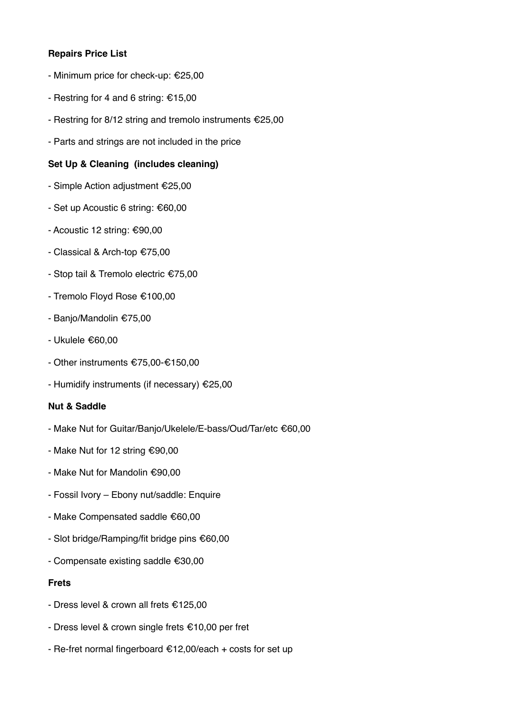# **Repairs Price List**

- Minimum price for check-up: €25,00
- Restring for 4 and 6 string: €15,00
- Restring for 8/12 string and tremolo instruments €25,00
- Parts and strings are not included in the price

## **Set Up & Cleaning (includes cleaning)**

- Simple Action adjustment €25,00
- Set up Acoustic 6 string: €60,00
- Acoustic 12 string: €90,00
- Classical & Arch-top €75,00
- Stop tail & Tremolo electric €75,00
- Tremolo Floyd Rose €100,00
- Banjo/Mandolin €75,00
- Ukulele €60,00
- Other instruments €75,00-€150,00
- Humidify instruments (if necessary) €25,00

# **Nut & Saddle**

- Make Nut for Guitar/Banjo/Ukelele/E-bass/Oud/Tar/etc €60,00
- Make Nut for 12 string €90,00
- Make Nut for Mandolin €90,00
- Fossil Ivory Ebony nut/saddle: Enquire
- Make Compensated saddle €60,00
- Slot bridge/Ramping/fit bridge pins €60,00
- Compensate existing saddle €30,00

#### **Frets**

- Dress level & crown all frets €125,00
- Dress level & crown single frets €10,00 per fret
- Re-fret normal fingerboard €12,00/each + costs for set up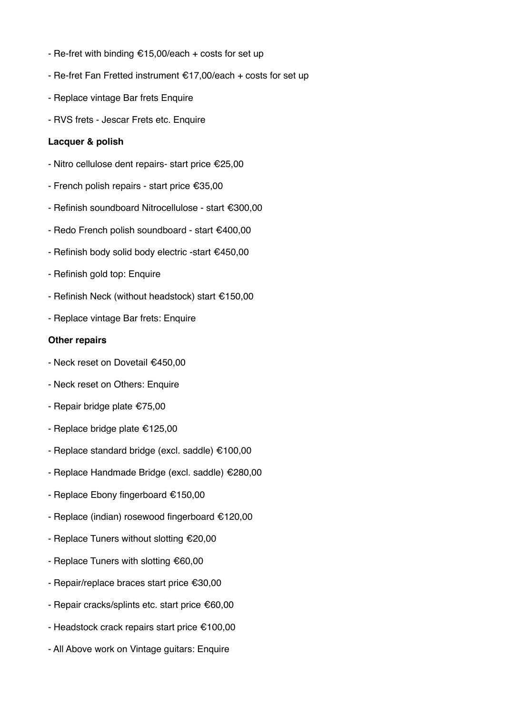- Re-fret with binding  $£15,00$ /each + costs for set up
- Re-fret Fan Fretted instrument €17,00/each + costs for set up
- Replace vintage Bar frets Enquire
- RVS frets Jescar Frets etc. Enquire

### **Lacquer & polish**

- Nitro cellulose dent repairs- start price €25,00
- French polish repairs start price €35,00
- Refinish soundboard Nitrocellulose start €300,00
- Redo French polish soundboard start €400,00
- Refinish body solid body electric -start €450,00
- Refinish gold top: Enquire
- Refinish Neck (without headstock) start €150,00
- Replace vintage Bar frets: Enquire

### **Other repairs**

- Neck reset on Dovetail €450,00
- Neck reset on Others: Enquire
- Repair bridge plate €75,00
- Replace bridge plate €125,00
- Replace standard bridge (excl. saddle) €100,00
- Replace Handmade Bridge (excl. saddle) €280,00
- Replace Ebony fingerboard €150,00
- Replace (indian) rosewood fingerboard €120,00
- Replace Tuners without slotting €20,00
- Replace Tuners with slotting €60,00
- Repair/replace braces start price €30,00
- Repair cracks/splints etc. start price €60,00
- Headstock crack repairs start price €100,00
- All Above work on Vintage guitars: Enquire